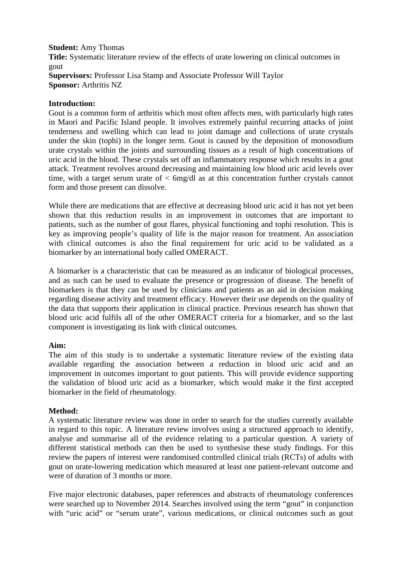#### **Student:** Amy Thomas

**Title:** Systematic literature review of the effects of urate lowering on clinical outcomes in gout **Supervisors:** Professor Lisa Stamp and Associate Professor Will Taylor **Sponsor:** Arthritis NZ

# **Introduction:**

Gout is a common form of arthritis which most often affects men, with particularly high rates in Maori and Pacific Island people. It involves extremely painful recurring attacks of joint tenderness and swelling which can lead to joint damage and collections of urate crystals under the skin (tophi) in the longer term. Gout is caused by the deposition of monosodium urate crystals within the joints and surrounding tissues as a result of high concentrations of uric acid in the blood. These crystals set off an inflammatory response which results in a gout attack. Treatment revolves around decreasing and maintaining low blood uric acid levels over time, with a target serum urate of < 6mg/dl as at this concentration further crystals cannot form and those present can dissolve.

While there are medications that are effective at decreasing blood uric acid it has not yet been shown that this reduction results in an improvement in outcomes that are important to patients, such as the number of gout flares, physical functioning and tophi resolution. This is key as improving people's quality of life is the major reason for treatment. An association with clinical outcomes is also the final requirement for uric acid to be validated as a biomarker by an international body called OMERACT.

A biomarker is a characteristic that can be measured as an indicator of biological processes, and as such can be used to evaluate the presence or progression of disease. The benefit of biomarkers is that they can be used by clinicians and patients as an aid in decision making regarding disease activity and treatment efficacy. However their use depends on the quality of the data that supports their application in clinical practice. Previous research has shown that blood uric acid fulfils all of the other OMERACT criteria for a biomarker, and so the last component is investigating its link with clinical outcomes.

# **Aim:**

The aim of this study is to undertake a systematic literature review of the existing data available regarding the association between a reduction in blood uric acid and an improvement in outcomes important to gout patients. This will provide evidence supporting the validation of blood uric acid as a biomarker, which would make it the first accepted biomarker in the field of rheumatology.

# **Method:**

A systematic literature review was done in order to search for the studies currently available in regard to this topic. A literature review involves using a structured approach to identify, analyse and summarise all of the evidence relating to a particular question. A variety of different statistical methods can then be used to synthesise these study findings. For this review the papers of interest were randomised controlled clinical trials (RCTs) of adults with gout on urate-lowering medication which measured at least one patient-relevant outcome and were of duration of 3 months or more.

Five major electronic databases, paper references and abstracts of rheumatology conferences were searched up to November 2014. Searches involved using the term "gout" in conjunction with "uric acid" or "serum urate", various medications, or clinical outcomes such as gout